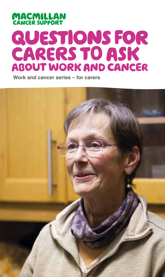# **MACMILLAN**<br>CANCER SUPPORT **QUESTIONS FOR** CARERS TO ASK ABOUT WORK AND CANCER

**Work and cancer series – for carers**

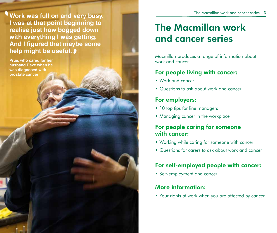**Work was full on and very busy. I was at that point beginning to realise just how bogged down with everything I was getting. And I figured that maybe some help might be useful.** '

**Prue, who cared for her husband Dave when he was diagnosed with prostate cancer**

 $\mathbf 0$ 

## The Macmillan work and cancer series

Macmillan produces a range of information about work and cancer.

### For people living with cancer:

- Work and cancer
- Questions to ask about work and cancer

### For employers:

- 10 top tips for line managers
- Managing cancer in the workplace

### For people caring for someone with cancer:

- Working while caring for someone with cancer
- Questions for carers to ask about work and cancer

## For self-employed people with cancer:

• Self-employment and cancer

### More information:

• Your rights at work when you are affected by cancer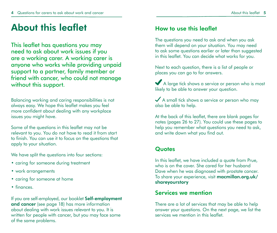## About this leaflet

This leaflet has questions you may need to ask about work issues if you are a working carer. A working carer is anyone who works while providing unpaid support to a partner, family member or friend with cancer, who could not manage without this support.

Balancing working and caring responsibilities is not always easy. We hope this leaflet makes you feel more confident about dealing with any workplace issues you might have.

Some of the questions in this leaflet may not be relevant to you. You do not have to read it from start to finish. You can use it to focus on the questions that apply to your situation.

We have split the questions into four sections:

- caring for someone during treatment
- work arrangements
- caring for someone at home
- finances.

If you are self-employed, our booklet Self-employment and cancer (see page 18) has more information about dealing with work issues relevant to you. It is written for people with cancer, but you may face some of the same problems.

### How to use this leaflet

The questions you need to ask and when you ask them will depend on your situation. You may need to ask some questions earlier or later than suggested in this leaflet. You can decide what works for you.

Next to each question, there is a list of people or places you can go to for answers.

A large tick shows a service or person who is most likely to be able to answer your question.

A small tick shows a service or person who may also be able to help.

At the back of this leaflet, there are blank pages for notes (pages 26 to 27). You could use these pages to help you remember what questions you need to ask, and write down what you find out.

### **Quotes**

In this leaflet, we have included a quote from Prue, who is on the cover. She cared for her husband Dave when he was diagnosed with prostate cancer. To share your experience, visit macmillan.org.uk/ shareyourstory

### Services we mention

There are a lot of services that may be able to help answer your questions. On the next page, we list the services we mention in this leaflet.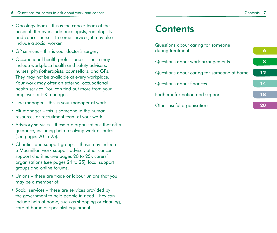- Oncology team this is the cancer team at the hospital. It may include oncologists, radiologists and cancer nurses. In some services, it may also include a social worker.
- GP services this is your doctor's surgery.
- Occupational health professionals these may include workplace health and safety advisers, nurses, physiotherapists, counsellors, and GPs. They may not be available at every workplace. Your work may offer an external occupational health service. You can find out more from your employer or HR manager.
- Line manager this is your manager at work.
- HR manager this is someone in the human resources or recruitment team at your work.
- Advisory services these are organisations that offer guidance, including help resolving work disputes (see pages 20 to 25).
- Charities and support groups these may include a Macmillan work support adviser, other cancer support charities (see pages 20 to 25), carers' organisations (see pages 24 to 25), local support groups and online forums.
- Unions these are trade or labour unions that you may be a member of.
- Social services these are services provided by the government to help people in need. They can include help at home, such as shopping or cleaning, care at home or specialist equipment.

## **Contents**

| Questions about caring for someone<br>during treatment | 6                 |
|--------------------------------------------------------|-------------------|
| Questions about work arrangements                      | 8                 |
| Questions about caring for someone at home             | $12 \overline{ }$ |
| Questions about finances                               | 14                |
| Further information and support                        | 18                |
| Other useful organisations                             | 20                |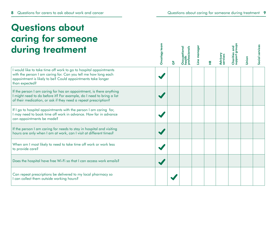## Questions about caring for someone during treatment

| during treatment                                                                                                                                                                                                     | Oncology | ৳ | occupational<br>ealth<br>professional | Line manage | ۴ | <b>Advisory</b><br>services | addns<br>Charitie | Union | Social services |
|----------------------------------------------------------------------------------------------------------------------------------------------------------------------------------------------------------------------|----------|---|---------------------------------------|-------------|---|-----------------------------|-------------------|-------|-----------------|
| I would like to take time off work to go to hospital appointments<br>with the person I am caring for. Can you tell me how long each<br>appointment is likely to be? Could appointments take longer<br>than expected? |          |   |                                       |             |   |                             |                   |       |                 |
| If the person I am caring for has an appointment, is there anything<br>I might need to do before it? For example, do I need to bring a list<br>of their medication, or ask if they need a repeat prescription?       |          |   |                                       |             |   |                             |                   |       |                 |
| If I go to hospital appointments with the person I am caring for,<br>I may need to book time off work in advance. How far in advance<br>can appointments be made?                                                    |          |   |                                       |             |   |                             |                   |       |                 |
| If the person I am caring for needs to stay in hospital and visiting<br>hours are only when I am at work, can I visit at different times?                                                                            |          |   |                                       |             |   |                             |                   |       |                 |
| When am I most likely to need to take time off work or work less<br>to provide care?                                                                                                                                 |          |   |                                       |             |   |                             |                   |       |                 |
| Does the hospital have free Wi-Fi so that I can access work emails?                                                                                                                                                  |          |   |                                       |             |   |                             |                   |       |                 |
| Can repeat prescriptions be delivered to my local pharmacy so<br>I can collect them outside working hours?                                                                                                           |          |   |                                       |             |   |                             |                   |       |                 |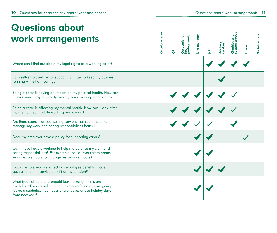## Questions about work arrangements

| work arrangements                                                                                                                                                                                         | Oncology | င်္င | professionals<br>Occupational<br>health<br>. | Line manager | £ | Advisor<br>services | Chariti<br><b>gus</b> | Union | Social services |
|-----------------------------------------------------------------------------------------------------------------------------------------------------------------------------------------------------------|----------|------|----------------------------------------------|--------------|---|---------------------|-----------------------|-------|-----------------|
| Where can I find out about my legal rights as a working carer?                                                                                                                                            |          |      |                                              |              |   |                     |                       |       |                 |
| I am self-employed. What support can I get to keep my business<br>running while I am caring?                                                                                                              |          |      |                                              |              |   |                     |                       |       |                 |
| Being a carer is having an impact on my physical health. How can<br>I make sure I stay physically healthy while working and caring?                                                                       |          |      |                                              |              |   |                     |                       |       |                 |
| Being a carer is affecting my mental health. How can I look after<br>my mental health while working and caring?                                                                                           |          |      |                                              |              |   |                     |                       |       |                 |
| Are there courses or counselling services that could help me<br>manage my work and caring responsibilities better?                                                                                        |          |      |                                              |              |   |                     |                       |       |                 |
| Does my employer have a policy for supporting carers?                                                                                                                                                     |          |      |                                              |              |   |                     |                       |       |                 |
| Can I have flexible working to help me balance my work and<br>caring responsibilities? For example, could I work from home,<br>work flexible hours, or change my working hours?                           |          |      |                                              |              |   |                     |                       |       |                 |
| Could flexible working affect any employee benefits I have,<br>such as death in service benefit or my pension?                                                                                            |          |      |                                              |              |   |                     |                       |       |                 |
| What types of paid and unpaid leave arrangements are<br>available? For example, could I take carer's leave, emergency<br>leave, a sabbatical, compassionate leave, or use holiday days<br>from next year? |          |      |                                              |              |   |                     |                       |       |                 |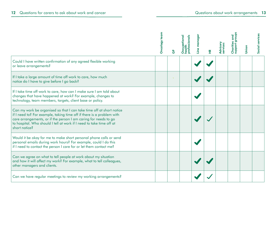|                                                                                                                                                                                                                                                                                                           | Oncology | င်္င | Occupational<br>health<br>essional | nager<br>$\bullet$<br>Š | ¥. | <b>Advisory</b><br>services | hoddns<br>Charitie | Union | Social services |
|-----------------------------------------------------------------------------------------------------------------------------------------------------------------------------------------------------------------------------------------------------------------------------------------------------------|----------|------|------------------------------------|-------------------------|----|-----------------------------|--------------------|-------|-----------------|
| Could I have written confirmation of any agreed flexible working<br>or leave arrangements?                                                                                                                                                                                                                |          |      |                                    |                         |    |                             |                    |       |                 |
| If I take a large amount of time off work to care, how much<br>notice do I have to give before I go back?                                                                                                                                                                                                 |          |      |                                    |                         |    |                             |                    |       |                 |
| If I take time off work to care, how can I make sure I am told about<br>changes that have happened at work? For example, changes to<br>technology, team members, targets, client base or policy.                                                                                                          |          |      |                                    |                         |    |                             |                    |       |                 |
| Can my work be organised so that I can take time off at short notice<br>if I need to? For example, taking time off if there is a problem with<br>care arrangements, or if the person I am caring for needs to go<br>to hospital. Who should I tell at work if I need to take time off at<br>short notice? |          |      |                                    |                         |    |                             |                    |       |                 |
| Would it be okay for me to make short personal phone calls or send<br>personal emails during work hours? For example, could I do this<br>if I need to contact the person I care for or let them contact me?                                                                                               |          |      |                                    |                         |    |                             |                    |       |                 |
| Can we agree on what to tell people at work about my situation<br>and how it will affect my work? For example, what to tell colleagues,<br>other managers and clients.                                                                                                                                    |          |      |                                    |                         |    |                             |                    |       |                 |
| Can we have regular meetings to review my working arrangements?                                                                                                                                                                                                                                           |          |      |                                    |                         |    |                             |                    |       |                 |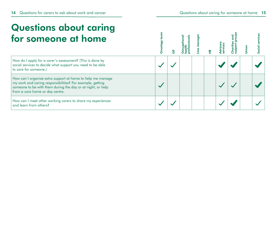## Questions about caring for someone at home

| for someone at home                                                                                                                                                                                                       |  |  |  |  |  |
|---------------------------------------------------------------------------------------------------------------------------------------------------------------------------------------------------------------------------|--|--|--|--|--|
| How do I apply for a carer's assessment? (This is done by<br>social services to decide what support you need to be able<br>to care for someone.)                                                                          |  |  |  |  |  |
| How can I organise extra support at home to help me manage<br>my work and caring responsibilities? For example, getting<br>someone to be with them during the day or at night, or help<br>from a care home or day centre. |  |  |  |  |  |
| How can I meet other working carers to share my experiences<br>and learn from others?                                                                                                                                     |  |  |  |  |  |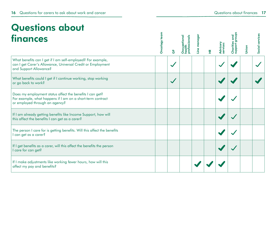## Questions about finances

| <b>finances</b>                                                                                                                                          | Oncology | $\overline{(\overline{b})}$ | Occupational<br>health<br>essional | manager<br>Line | ¥. | <b>Advisory</b><br>services | Chariti | Social services |
|----------------------------------------------------------------------------------------------------------------------------------------------------------|----------|-----------------------------|------------------------------------|-----------------|----|-----------------------------|---------|-----------------|
| What benefits can I get if I am self-employed? For example,<br>can I get Carer's Allowance, Universal Credit or Employment<br>and Support Allowance?     |          |                             |                                    |                 |    |                             |         |                 |
| What benefits could I get if I continue working, stop working<br>or go back to work?                                                                     |          |                             |                                    |                 |    |                             |         |                 |
| Does my employment status affect the benefits I can get?<br>For example, what happens if I am on a short-term contract<br>or employed through an agency? |          |                             |                                    |                 |    |                             |         |                 |
| If I am already getting benefits like Income Support, how will<br>this affect the benefits I can get as a carer?                                         |          |                             |                                    |                 |    |                             |         |                 |
| The person I care for is getting benefits. Will this affect the benefits<br>I can get as a carer?                                                        |          |                             |                                    |                 |    |                             |         |                 |
| If I get benefits as a carer, will this affect the benefits the person<br>I care for can get?                                                            |          |                             |                                    |                 |    |                             |         |                 |
| If I make adjustments like working fewer hours, how will this<br>affect my pay and benefits?                                                             |          |                             |                                    |                 |    |                             |         |                 |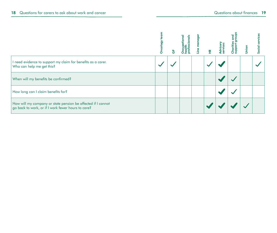|                                                                                                                    | ncolog |  | 똪 |  | Social |
|--------------------------------------------------------------------------------------------------------------------|--------|--|---|--|--------|
| I need evidence to support my claim for benefits as a carer.<br>Who can help me get this?                          |        |  |   |  |        |
| When will my benefits be confirmed?                                                                                |        |  |   |  |        |
| How long can I claim benefits for?                                                                                 |        |  |   |  |        |
| How will my company or state pension be affected if I cannot<br>go back to work, or if I work fewer hours to care? |        |  |   |  |        |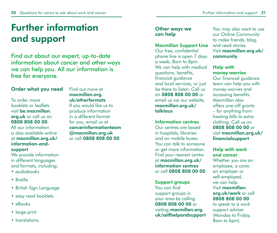## Further information and support

Find out about our expert, up-to-date information about cancer and other ways we can help you. All our information is free for everyone.

#### Order what you need

To order more booklets or leaflets visit be.macmillan. org.uk or call us on 0808 808 00 00. All our information is also available online at macmillan.org.uk/ information-and-

#### support

We provide information in different languages and formats, including:

- audiobooks
- Braille
- British Sign Language
- easy read booklets
- eBooks
- large print
- translations

Find out more at macmillan.org. uk/otherformats If you would like us to

produce information in a different format for you, email us at cancerinformationteam @macmillan.org.uk or call 0808 808 00 00.

#### Other ways we can help

#### Macmillan Support Line

Our free, confidential phone line is open 7 days a week, 8am to 8pm. We can help with medical questions, benefits, financial guidance and local services, or just be there to listen. Call us on 0808 808 00 00 or email us via our website, macmillan.org.uk/ talktous

#### Information centres

Our centres are based in hospitals, libraries and on mobile buses. You can talk to someone or get more information. Find your nearest centre at macmillan.org.uk/ information centres or call 0808 808 00 00.

Support groups

You can find support groups in your area by calling 0808 808 00 00 or visiting macmillan.org. uk/selfhelpandsupport You may also want to use our Online Community to make friends, blog, and read stories. Visit macmillan.org.uk/ community

#### Help with money worries

Our financial guidance team can help you with money worries and accessing benefits. Macmillan also offers one-off grants – for anything from heating bills to extra clothing. Call us on 0808 808 00 00 or visit macmillan.org.uk/ financialsupport

#### Help with work and cancer

Whether you are an employee, a carer, an employer or self-employed, we can help. Visit macmillan. org.uk/work or call 0808 808 00 00

to speak to a work support adviser (Monday to Friday, 8am to 6pm).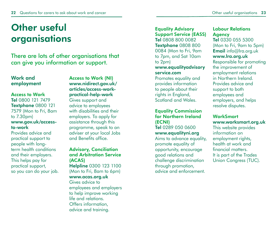## Other useful organisations

There are lots of other organisations that can give you information or support.

#### Work and employment

#### Access to Work

Tel 0800 121 7479 Textphone 0800 121 7579 (Mon to Fri, 8am to 7.30pm) www.gov.uk/accessto-work

Provides advice and practical support to people with longterm health conditions and their employers. This helps pay for practical support, so you can do your job. Access to Work (NI) www.nidirect.gov.uk/ articles/access-workpractical-help-work Gives support and

advice to employees with disabilities and their employers. To apply for assistance through this programme, speak to an adviser at your local Jobs and Benefits office.

#### Advisory, Conciliation and Arbitration Service (ACAS)

Helpline 0300 123 1100 (Mon to Fri, 8am to 6pm) www.acas.org.uk

Gives advice to employees and employers to help improve working life and relations. Offers information, advice and training.

Equality Advisory Support Service (EASS) Tel 0808 800 0082 Textphone 0808 800 0084 (Mon to Fri, 9am to 7pm, and Sat 10am to 2pm) www.equalityadvisory

## service.com

Promotes equality and provides information to people about their rights in England, Scotland and Wales.

#### Equality Commission for Northern Ireland (ECNI) Tel 0289 050 0600 www.equalityni.org

Aims to advance equality, promote equality of opportunity, encourage good relations and challenge discrimination through promotion, advice and enforcement.

#### Labour Relations **Agency**

Tel 0330 055 5300 (Mon to Fri, 9am to 5pm) Email info@lra.org.uk www.lra.org.uk Responsible for promoting the improvement of employment relations in Northern Ireland. Provides advice and support to both employees and employers, and helps resolve disputes.

#### **WorkSmart** www.worksmart.org.uk

This website provides information on employment rights, health at work and financial matters. It is part of the Trades Union Congress (TUC).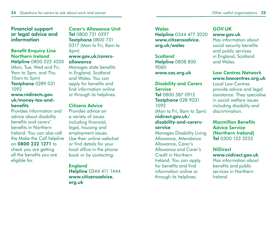#### Financial support or legal advice and information

#### Benefit Enquiry Line Northern Ireland

Helpline 0800 022 4250 (Mon, Tue, Wed and Fri, 9am to 5pm, and Thu 10am to 5pm) Textphone 0289 031 1092

#### www.nidirects.gov. uk/money-tax-andbenefits

Provides information and advice about disability benefits and carers' benefits in Northern Ireland. You can also call the Make the Call helpline on 0800 232 1271 to check you are getting all the benefits you are eligible for.

#### Carer's Allowance Unit Tel 0800 731 0297 Textphone 0800 731 0317 (Mon to Fri, 8am to 6pm) www.gov.uk/carersallowance

Manages state benefits in England, Scotland and Wales. You can apply for benefits and find information online or through its helplines.

#### Citizens Advice

Provides advice on a variety of issues including financial, legal, housing and employment issues. Use their online webchat or find details for your local office in the phone book or by contacting:

#### England Helpline 0344 411 1444 www.citizensadvice. org.uk

**Wales** Helpline 0344 477 2020 www.citizensadvice. org.uk/wales

**Scotland** Helpline 0808 800 9060

www.cas.org.uk

#### Disability and Carers **Service** Tel 0800 587 0912 Textphone 028 9031 1092 (Mon to Fri, 8am to 5pm) nidirect.gov.uk/ disability-and-carersservice

Manages Disability Living Allowance, Attendance Allowance, Carer's Allowance and Carer's Credit in Northern Ireland. You can apply for benefits and find information online or through its helplines.

#### GOV.UK www.gov.uk

Has information about social security benefits and public services in England, Scotland and Wales.

#### Law Centres Network www.lawcentres.org.uk

Local Law Centres provide advice and legal assistance. They specialise in social welfare issues including disability and discrimination.

#### Macmillan Benefits Advice Service (Northern Ireland) Tel 0300 123 3233

#### **NiDirect**

www.nidirect.gov.uk Has information about benefits and public services in Northern Ireland.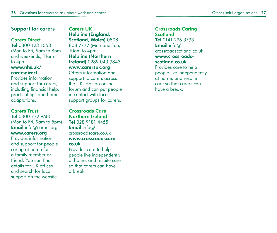#### Support for carers

#### Carers Direct

Tel 0300 123 1053 (Mon to Fri, 9am to 8pm and weekends, 11am to 4pm) www.nhs.uk/ carersdirect

Provides information and support for carers, including financial help, practical tips and home adaptations.

#### Carers Trust

Tel 0300 772 9600 (Mon to Fri, 9am to 5pm) **Email** info@carers.org www.carers.org Provides information and support for people

caring at home for a family member or friend. You can find details for UK offices and search for local support on the website. Carers UK Helpline (England, Scotland, Wales) 0808 808 7777 (Mon and Tue, 10am to 4pm) Helpline (Northern Ireland) 0289 043 9843 www.carersuk.org

Offers information and support to carers across the UK. Has an online forum and can put people in contact with local support groups for carers.

Crossroads Care Northern Ireland Tel 028 9181 4455 Email info@ crossroadscare.co.uk www.crossroadscare. co.uk

Provides care to help people live independently at home, and respite care so that carers can have a break.

Crossroads Caring **Scotland** Tel 0141 226 3793 Email info@ crossroadscotland.co.uk www.crossroadsscotland.co.uk Provides care to help

people live independently at home, and respite care so that carers can have a break.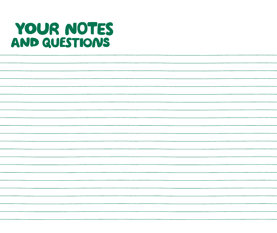# YOUR NOTES AND QUESTIONS